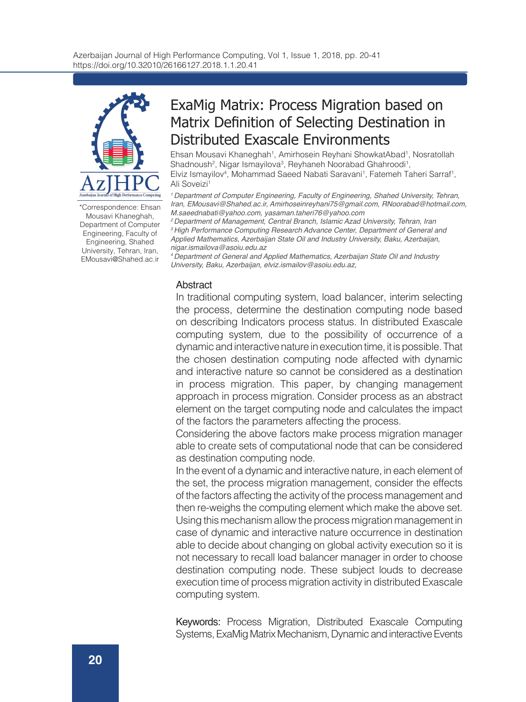

\*Correspondence: Ehsan Mousavi Khaneghah, Department of Computer Engineering, Faculty of Engineering, Shahed University, Tehran, Iran, EMousavi@Shahed.ac.ir

# ExaMig Matrix: Process Migration based on Matrix Definition of Selecting Destination in Distributed Exascale Environments

Ehsan Mousavi Khaneghah<sup>1</sup>, Amirhosein Reyhani ShowkatAbad<sup>1</sup>, Nosratollah Shadnoush<sup>2</sup>, Nigar Ismayilova<sup>3</sup>, Reyhaneh Noorabad Ghahroodi<sup>1</sup>, Elviz Ismayilov<sup>4</sup>, Mohammad Saeed Nabati Saravani<sup>1</sup>, Fatemeh Taheri Sarraf<sup>1</sup>, Ali Soveizi1

*1 Department of Computer Engineering, Faculty of Engineering, Shahed University, Tehran, Iran, EMousavi@Shahed.ac.ir, Amirhoseinreyhani75@gmail.com, RNoorabad@hotmail.com, M.saeednabati@yahoo.com, yasaman.taheri76@yahoo.com*

*2 Department of Management, Central Branch, Islamic Azad University, Tehran, Iran 3 High Performance Computing Research Advance Center, Department of General and Applied Mathematics, Azerbaijan State Oil and Industry University, Baku, Azerbaijan, nigar.ismailova@asoiu.edu.az*

*4 Department of General and Applied Mathematics, Azerbaijan State Oil and Industry University, Baku, Azerbaijan, elviz.ismailov@asoiu.edu.az,*

# Abstract

In traditional computing system, load balancer, interim selecting the process, determine the destination computing node based on describing Indicators process status. In distributed Exascale computing system, due to the possibility of occurrence of a dynamic and interactive nature in execution time, it is possible. That the chosen destination computing node affected with dynamic and interactive nature so cannot be considered as a destination in process migration. This paper, by changing management approach in process migration. Consider process as an abstract element on the target computing node and calculates the impact of the factors the parameters affecting the process.

Considering the above factors make process migration manager able to create sets of computational node that can be considered as destination computing node.

In the event of a dynamic and interactive nature, in each element of the set, the process migration management, consider the effects of the factors affecting the activity of the process management and then re-weighs the computing element which make the above set. Using this mechanism allow the process migration management in case of dynamic and interactive nature occurrence in destination able to decide about changing on global activity execution so it is not necessary to recall load balancer manager in order to choose destination computing node. These subject louds to decrease execution time of process migration activity in distributed Exascale computing system.

Keywords: Process Migration, Distributed Exascale Computing Systems, ExaMig Matrix Mechanism, Dynamic and interactive Events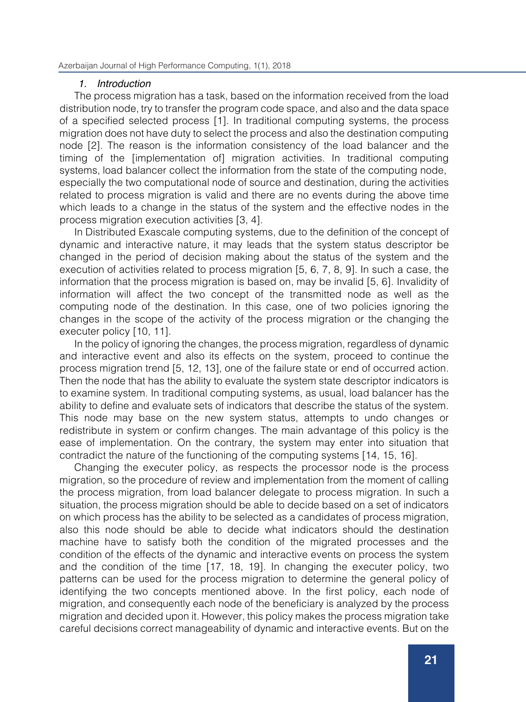### *1. Introduction*

The process migration has a task, based on the information received from the load distribution node, try to transfer the program code space, and also and the data space of a specified selected process [1]. In traditional computing systems, the process migration does not have duty to select the process and also the destination computing node [2]. The reason is the information consistency of the load balancer and the timing of the [implementation of] migration activities. In traditional computing systems, load balancer collect the information from the state of the computing node, especially the two computational node of source and destination, during the activities related to process migration is valid and there are no events during the above time which leads to a change in the status of the system and the effective nodes in the process migration execution activities [3, 4].

In Distributed Exascale computing systems, due to the definition of the concept of dynamic and interactive nature, it may leads that the system status descriptor be changed in the period of decision making about the status of the system and the execution of activities related to process migration [5, 6, 7, 8, 9]. In such a case, the information that the process migration is based on, may be invalid [5, 6]. Invalidity of information will affect the two concept of the transmitted node as well as the computing node of the destination. In this case, one of two policies ignoring the changes in the scope of the activity of the process migration or the changing the executer policy [10, 11].

In the policy of ignoring the changes, the process migration, regardless of dynamic and interactive event and also its effects on the system, proceed to continue the process migration trend [5, 12, 13], one of the failure state or end of occurred action. Then the node that has the ability to evaluate the system state descriptor indicators is to examine system. In traditional computing systems, as usual, load balancer has the ability to define and evaluate sets of indicators that describe the status of the system. This node may base on the new system status, attempts to undo changes or redistribute in system or confirm changes. The main advantage of this policy is the ease of implementation. On the contrary, the system may enter into situation that contradict the nature of the functioning of the computing systems [14, 15, 16].

Changing the executer policy, as respects the processor node is the process migration, so the procedure of review and implementation from the moment of calling the process migration, from load balancer delegate to process migration. In such a situation, the process migration should be able to decide based on a set of indicators on which process has the ability to be selected as a candidates of process migration, also this node should be able to decide what indicators should the destination machine have to satisfy both the condition of the migrated processes and the condition of the effects of the dynamic and interactive events on process the system and the condition of the time [17, 18, 19]. In changing the executer policy, two patterns can be used for the process migration to determine the general policy of identifying the two concepts mentioned above. In the first policy, each node of migration, and consequently each node of the beneficiary is analyzed by the process migration and decided upon it. However, this policy makes the process migration take careful decisions correct manageability of dynamic and interactive events. But on the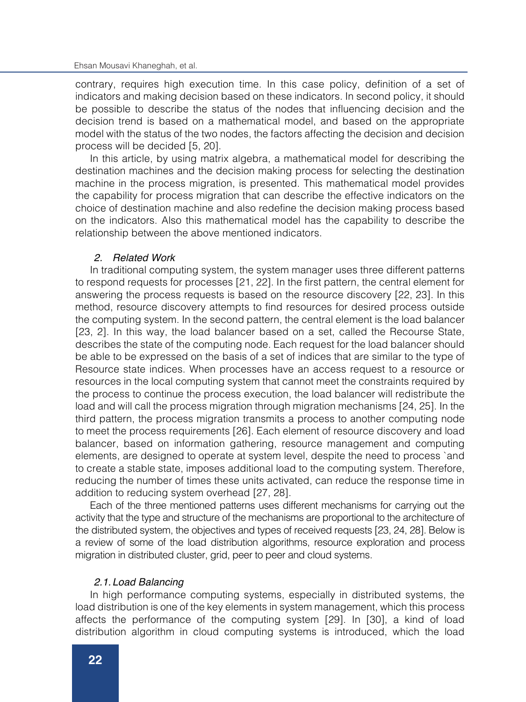contrary, requires high execution time. In this case policy, definition of a set of indicators and making decision based on these indicators. In second policy, it should be possible to describe the status of the nodes that influencing decision and the decision trend is based on a mathematical model, and based on the appropriate model with the status of the two nodes, the factors affecting the decision and decision process will be decided [5, 20].

In this article, by using matrix algebra, a mathematical model for describing the destination machines and the decision making process for selecting the destination machine in the process migration, is presented. This mathematical model provides the capability for process migration that can describe the effective indicators on the choice of destination machine and also redefine the decision making process based on the indicators. Also this mathematical model has the capability to describe the relationship between the above mentioned indicators.

### *2. Related Work*

In traditional computing system, the system manager uses three different patterns to respond requests for processes [21, 22]. In the first pattern, the central element for answering the process requests is based on the resource discovery [22, 23]. In this method, resource discovery attempts to find resources for desired process outside the computing system. In the second pattern, the central element is the load balancer [23, 2]. In this way, the load balancer based on a set, called the Recourse State, describes the state of the computing node. Each request for the load balancer should be able to be expressed on the basis of a set of indices that are similar to the type of Resource state indices. When processes have an access request to a resource or resources in the local computing system that cannot meet the constraints required by the process to continue the process execution, the load balancer will redistribute the load and will call the process migration through migration mechanisms [24, 25]. In the third pattern, the process migration transmits a process to another computing node to meet the process requirements [26]. Each element of resource discovery and load balancer, based on information gathering, resource management and computing elements, are designed to operate at system level, despite the need to process `and to create a stable state, imposes additional load to the computing system. Therefore, reducing the number of times these units activated, can reduce the response time in addition to reducing system overhead [27, 28].

Each of the three mentioned patterns uses different mechanisms for carrying out the activity that the type and structure of the mechanisms are proportional to the architecture of the distributed system, the objectives and types of received requests [23, 24, 28]. Below is a review of some of the load distribution algorithms, resource exploration and process migration in distributed cluster, grid, peer to peer and cloud systems.

### *2.1.Load Balancing*

In high performance computing systems, especially in distributed systems, the load distribution is one of the key elements in system management, which this process affects the performance of the computing system [29]. In [30], a kind of load distribution algorithm in cloud computing systems is introduced, which the load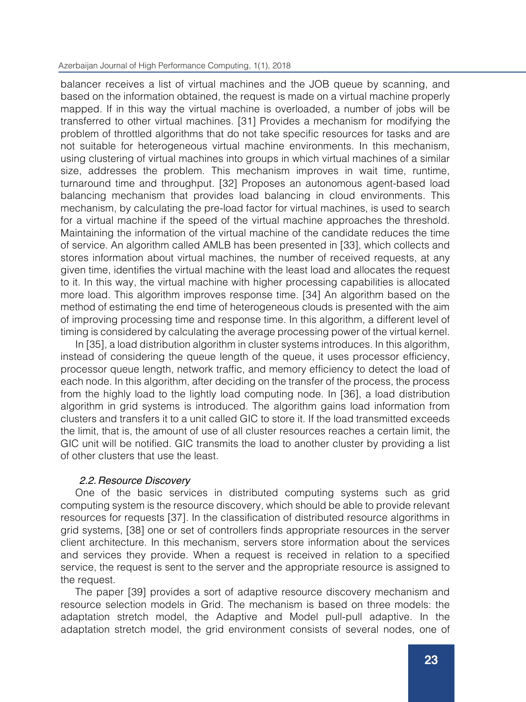### Azerbaijan Journal of High Performance Computing, 1(1), 2018

balancer receives a list of virtual machines and the JOB queue by scanning, and based on the information obtained, the request is made on a virtual machine properly mapped. If in this way the virtual machine is overloaded, a number of jobs will be transferred to other virtual machines. [31] Provides a mechanism for modifying the problem of throttled algorithms that do not take specific resources for tasks and are not suitable for heterogeneous virtual machine environments. In this mechanism, using clustering of virtual machines into groups in which virtual machines of a similar size, addresses the problem. This mechanism improves in wait time, runtime, turnaround time and throughput. [32] Proposes an autonomous agent-based load balancing mechanism that provides load balancing in cloud environments. This mechanism, by calculating the pre-load factor for virtual machines, is used to search for a virtual machine if the speed of the virtual machine approaches the threshold. Maintaining the information of the virtual machine of the candidate reduces the time of service. An algorithm called AMLB has been presented in [33], which collects and stores information about virtual machines, the number of received requests, at any given time, identifies the virtual machine with the least load and allocates the request to it. In this way, the virtual machine with higher processing capabilities is allocated more load. This algorithm improves response time. [34] An algorithm based on the method of estimating the end time of heterogeneous clouds is presented with the aim of improving processing time and response time. In this algorithm, a different level of timing is considered by calculating the average processing power of the virtual kernel.

In [35], a load distribution algorithm in cluster systems introduces. In this algorithm, instead of considering the queue length of the queue, it uses processor efficiency, processor queue length, network traffic, and memory efficiency to detect the load of each node. In this algorithm, after deciding on the transfer of the process, the process from the highly load to the lightly load computing node. In [36], a load distribution algorithm in grid systems is introduced. The algorithm gains load information from clusters and transfers it to a unit called GIC to store it. If the load transmitted exceeds the limit, that is, the amount of use of all cluster resources reaches a certain limit, the GIC unit will be notified. GIC transmits the load to another cluster by providing a list of other clusters that use the least.

# *2.2.Resource Discovery*

One of the basic services in distributed computing systems such as grid computing system is the resource discovery, which should be able to provide relevant resources for requests [37]. In the classification of distributed resource algorithms in grid systems, [38] one or set of controllers finds appropriate resources in the server client architecture. In this mechanism, servers store information about the services and services they provide. When a request is received in relation to a specified service, the request is sent to the server and the appropriate resource is assigned to the request.

The paper [39] provides a sort of adaptive resource discovery mechanism and resource selection models in Grid. The mechanism is based on three models: the adaptation stretch model, the Adaptive and Model pull-pull adaptive. In the adaptation stretch model, the grid environment consists of several nodes, one of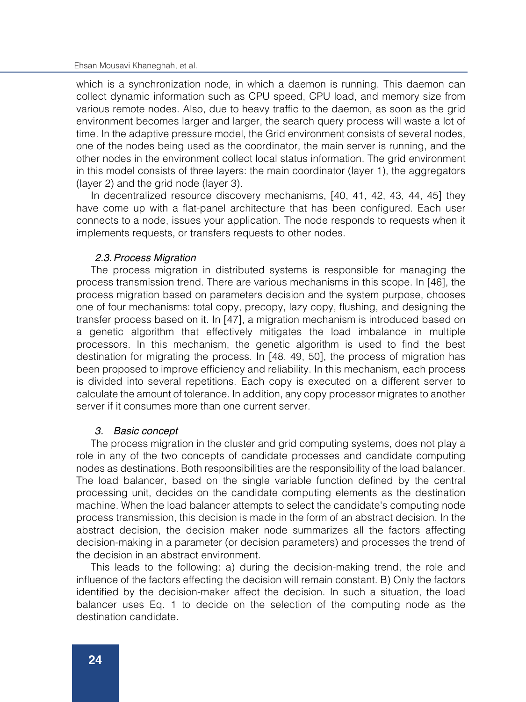### Ehsan Mousavi Khaneghah, et al.

which is a synchronization node, in which a daemon is running. This daemon can collect dynamic information such as CPU speed, CPU load, and memory size from various remote nodes. Also, due to heavy traffic to the daemon, as soon as the grid environment becomes larger and larger, the search query process will waste a lot of time. In the adaptive pressure model, the Grid environment consists of several nodes, one of the nodes being used as the coordinator, the main server is running, and the other nodes in the environment collect local status information. The grid environment in this model consists of three layers: the main coordinator (layer 1), the aggregators (layer 2) and the grid node (layer 3).

In decentralized resource discovery mechanisms, [40, 41, 42, 43, 44, 45] they have come up with a flat-panel architecture that has been configured. Each user connects to a node, issues your application. The node responds to requests when it implements requests, or transfers requests to other nodes.

# *2.3.Process Migration*

The process migration in distributed systems is responsible for managing the process transmission trend. There are various mechanisms in this scope. In [46], the process migration based on parameters decision and the system purpose, chooses one of four mechanisms: total copy, precopy, lazy copy, flushing, and designing the transfer process based on it. In [47], a migration mechanism is introduced based on a genetic algorithm that effectively mitigates the load imbalance in multiple processors. In this mechanism, the genetic algorithm is used to find the best destination for migrating the process. In [48, 49, 50], the process of migration has been proposed to improve efficiency and reliability. In this mechanism, each process is divided into several repetitions. Each copy is executed on a different server to calculate the amount of tolerance. In addition, any copy processor migrates to another server if it consumes more than one current server.

# *3. Basic concept*

The process migration in the cluster and grid computing systems, does not play a role in any of the two concepts of candidate processes and candidate computing nodes as destinations. Both responsibilities are the responsibility of the load balancer. The load balancer, based on the single variable function defined by the central processing unit, decides on the candidate computing elements as the destination machine. When the load balancer attempts to select the candidate's computing node process transmission, this decision is made in the form of an abstract decision. In the abstract decision, the decision maker node summarizes all the factors affecting decision-making in a parameter (or decision parameters) and processes the trend of the decision in an abstract environment.

This leads to the following: a) during the decision-making trend, the role and influence of the factors effecting the decision will remain constant. B) Only the factors identified by the decision-maker affect the decision. In such a situation, the load balancer uses Eq. 1 to decide on the selection of the computing node as the destination candidate.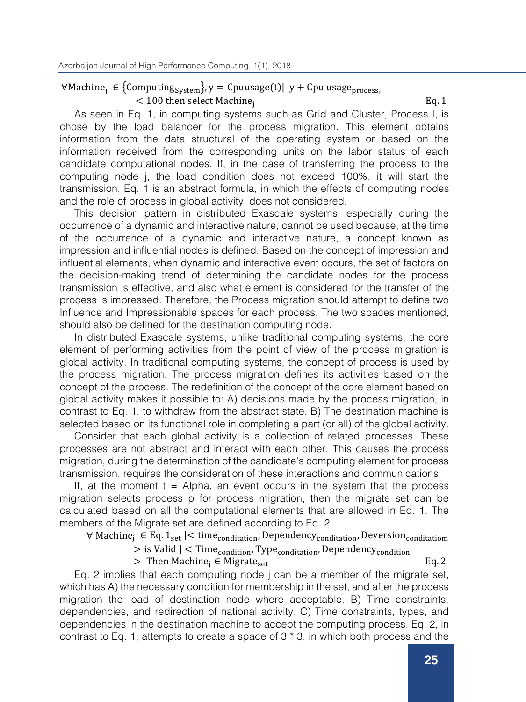# $\forall$ Machine<sub>i</sub> ∈ {Computing<sub>System</sub>}, y = Cpuusage(t)| y + Cpu usage<sub>process</sub>.  $<$  100 then select Machine,  $Eq. 1$

As seen in Eq. 1, in computing systems such as Grid and Cluster, Process I, is chose by the load balancer for the process migration. This element obtains information from the data structural of the operating system or based on the information received from the corresponding units on the labor status of each candidate computational nodes. If, in the case of transferring the process to the computing node j, the load condition does not exceed 100%, it will start the transmission. Eq. 1 is an abstract formula, in which the effects of computing nodes and the role of process in global activity, does not considered.

This decision pattern in distributed Exascale systems, especially during the occurrence of a dynamic and interactive nature, cannot be used because, at the time of the occurrence of a dynamic and interactive nature, a concept known as impression and influential nodes is defined. Based on the concept of impression and influential elements, when dynamic and interactive event occurs, the set of factors on the decision-making trend of determining the candidate nodes for the process transmission is effective, and also what element is considered for the transfer of the process is impressed. Therefore, the Process migration should attempt to define two Influence and Impressionable spaces for each process. The two spaces mentioned, should also be defined for the destination computing node.

In distributed Exascale systems, unlike traditional computing systems, the core element of performing activities from the point of view of the process migration is global activity. In traditional computing systems, the concept of process is used by the process migration. The process migration defines its activities based on the concept of the process. The redefinition of the concept of the core element based on global activity makes it possible to: A) decisions made by the process migration, in contrast to Eq. 1, to withdraw from the abstract state. B) The destination machine is selected based on its functional role in completing a part (or all) of the global activity.

Consider that each global activity is a collection of related processes. These processes are not abstract and interact with each other. This causes the process migration, during the determination of the candidate's computing element for process transmission, requires the consideration of these interactions and communications.

If, at the moment  $t =$  Alpha, an event occurs in the system that the process migration selects process p for process migration, then the migrate set can be calculated based on all the computational elements that are allowed in Eq. 1. The members of the Migrate set are defined according to Eq. 2.

 $∀ Machine_i ∈ Eq. 1<sub>set</sub> | < time<sub>condition</sub>, Dependent<sub>condition</sub>, Development<sub>condition</sub>, Development<sub>condition</sub> |$ 

 $>$  is Valid  $|$  < Time<sub>condition</sub>, Type<sub>conditation</sub>, Dependency<sub>condition</sub> > Then Machine<sub>i</sub> ∈ Migrate<sub>set</sub> Eq. 2

Eq. 2 implies that each computing node j can be a member of the migrate set, which has A) the necessary condition for membership in the set, and after the process migration the load of destination node where acceptable. B) Time constraints, dependencies, and redirection of national activity. C) Time constraints, types, and dependencies in the destination machine to accept the computing process. Eq. 2, in contrast to Eq. 1, attempts to create a space of 3 \* 3, in which both process and the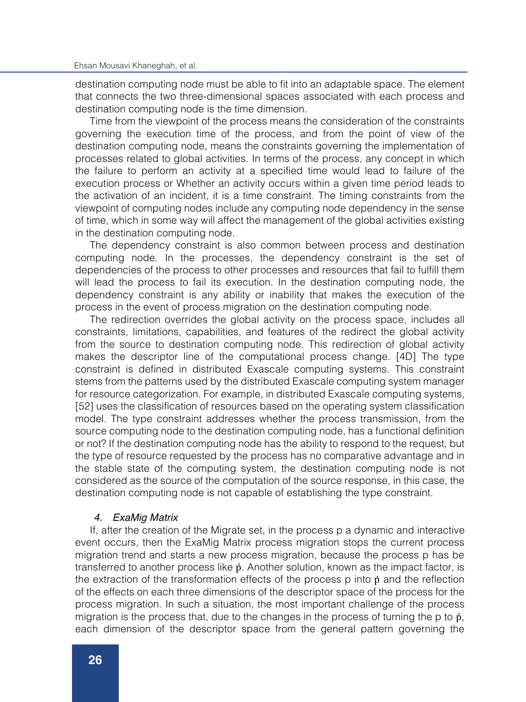destination computing node must be able to fit into an adaptable space. The element that connects the two three-dimensional spaces associated with each process and destination computing node is the time dimension.

Time from the viewpoint of the process means the consideration of the constraints governing the execution time of the process, and from the point of view of the destination computing node, means the constraints governing the implementation of processes related to global activities. In terms of the process, any concept in which the failure to perform an activity at a specified time would lead to failure of the execution process or Whether an activity occurs within a given time period leads to the activation of an incident, it is a time constraint. The timing constraints from the viewpoint of computing nodes include any computing node dependency in the sense of time, which in some way will affect the management of the global activities existing in the destination computing node.

The dependency constraint is also common between process and destination computing node. In the processes, the dependency constraint is the set of dependencies of the process to other processes and resources that fail to fulfill them will lead the process to fail its execution. In the destination computing node, the dependency constraint is any ability or inability that makes the execution of the process in the event of process migration on the destination computing node.

The redirection overrides the global activity on the process space, includes all constraints, limitations, capabilities, and features of the redirect the global activity from the source to destination computing node. This redirection of global activity makes the descriptor line of the computational process change. [4D] The type constraint is defined in distributed Exascale computing systems. This constraint stems from the patterns used by the distributed Exascale computing system manager for resource categorization. For example, in distributed Exascale computing systems, [52] uses the classification of resources based on the operating system classification model. The type constraint addresses whether the process transmission, from the source computing node to the destination computing node, has a functional definition or not? If the destination computing node has the ability to respond to the request, but the type of resource requested by the process has no comparative advantage and in the stable state of the computing system, the destination computing node is not considered as the source of the computation of the source response, in this case, the destination computing node is not capable of establishing the type constraint.

# *4. ExaMig Matrix*

If, after the creation of the Migrate set, in the process p a dynamic and interactive event occurs, then the ExaMig Matrix process migration stops the current process migration trend and starts a new process migration, because the process p has be transferred to another process like  $\acute{\text{p}}$ . Another solution, known as the impact factor, is the extraction of the transformation effects of the process  $p$  into  $\dot{p}$  and the reflection of the effects on each three dimensions of the descriptor space of the process for the process migration. In such a situation, the most important challenge of the process migration is the process that, due to the changes in the process of turning the p to  $\mathfrak{p}$ , each dimension of the descriptor space from the general pattern governing the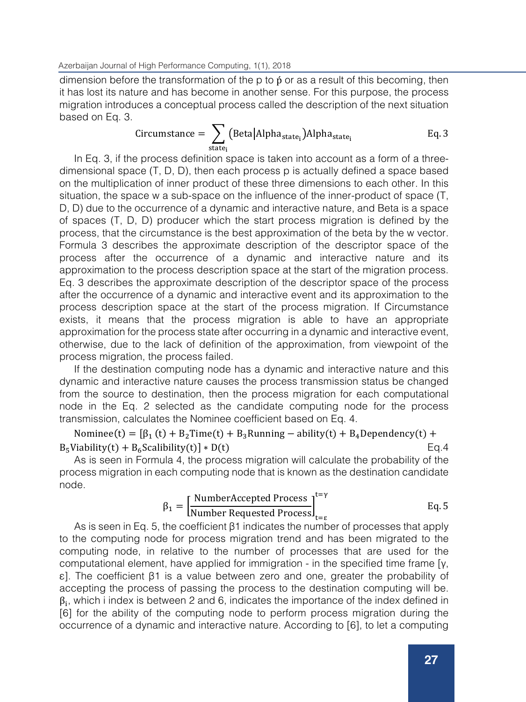dimension before the transformation of the p to  $\beta$  or as a result of this becoming, then it has lost its nature and has become in another sense. For this purpose, the process migration introduces a conceptual process called the description of the next situation based on Eq. 3.

$$
Circumstance = \sum_{state_i} (Beta|Alpha_{state_i})Alpha_{state_i}
$$
Eq. 3

state<sub>i</sub><br>In Eq. 3, if the process definition space is taken into account as a form of a threedimensional space (T, D, D), then each process p is actually defined a space based on the multiplication of inner product of these three dimensions to each other. In this situation, the space w a sub-space on the influence of the inner-product of space (T, D, D) due to the occurrence of a dynamic and interactive nature, and Beta is a space of spaces (T, D, D) producer which the start process migration is defined by the process, that the circumstance is the best approximation of the beta by the w vector. Formula 3 describes the approximate description of the descriptor space of the process after the occurrence of a dynamic and interactive nature and its approximation to the process description space at the start of the migration process. Eq. 3 describes the approximate description of the descriptor space of the process after the occurrence of a dynamic and interactive event and its approximation to the process description space at the start of the process migration. If Circumstance exists, it means that the process migration is able to have an appropriate approximation for the process state after occurring in a dynamic and interactive event, otherwise, due to the lack of definition of the approximation, from viewpoint of the process migration, the process failed.

If the destination computing node has a dynamic and interactive nature and this dynamic and interactive nature causes the process transmission status be changed from the source to destination, then the process migration for each computational node in the Eq. 2 selected as the candidate computing node for the process transmission, calculates the Nominee coefficient based on Eq. 4.

Nominee(t) =  $[\beta_1(t) + B_2$ Time(t) + B<sub>3</sub>Running – ability(t) + B<sub>4</sub>Dependency(t) + Viability(t) + B<sub>6</sub>Scalibility(t) \* D(t) Eq. 4  $B_5$ Viability(t) +  $B_6$ Scalibility(t)] \* D(t)

As is seen in Formula 4, the process migration will calculate the probability of the process migration in each computing node that is known as the destination candidate node.

$$
\beta_1 = \left[\frac{\text{NumberAccepted Process}}{\text{Number Required Process}}\right]_{t=\epsilon}^{t=\gamma} \qquad \text{Eq. 5}
$$

As is seen in Eq. 5, the coefficient β1 indicates the number of processes that apply to the computing node for process migration trend and has been migrated to the computing node, in relative to the number of processes that are used for the computational element, have applied for immigration - in the specified time frame [γ, ε]. The coefficient β1 is a value between zero and one, greater the probability of accepting the process of passing the process to the destination computing will be.  $\beta_i$ , which i index is between 2 and 6, indicates the importance of the index defined in [6] for the ability of the computing node to perform process migration during the occurrence of a dynamic and interactive nature. According to [6], to let a computing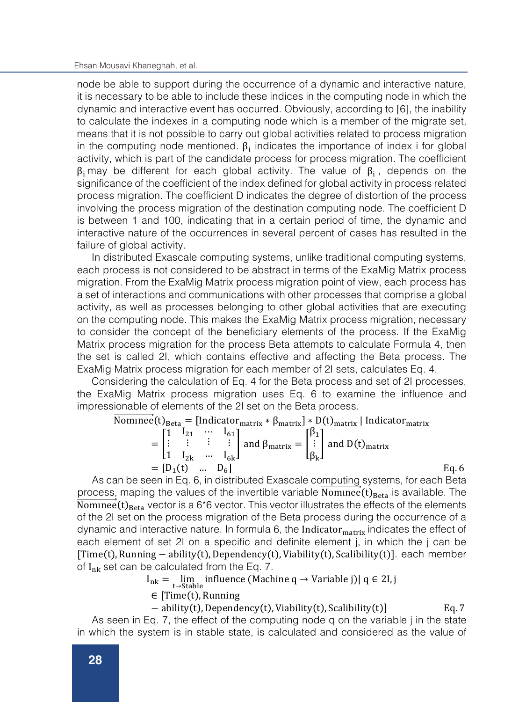node be able to support during the occurrence of a dynamic and interactive nature, it is necessary to be able to include these indices in the computing node in which the dynamic and interactive event has occurred. Obviously, according to [6], the inability to calculate the indexes in a computing node which is a member of the migrate set, means that it is not possible to carry out global activities related to process migration in the computing node mentioned.  $\beta_i$  indicates the importance of index i for global activity, which is part of the candidate process for process migration. The coefficient  $β$ <sub>i</sub> may be different for each global activity. The value of  $β$ <sub>i</sub>, depends on the significance of the coefficient of the index defined for global activity in process related process migration. The coefficient D indicates the degree of distortion of the process involving the process migration of the destination computing node. The coefficient D is between 1 and 100, indicating that in a certain period of time, the dynamic and interactive nature of the occurrences in several percent of cases has resulted in the failure of global activity.

In distributed Exascale computing systems, unlike traditional computing systems, each process is not considered to be abstract in terms of the ExaMig Matrix process migration. From the ExaMig Matrix process migration point of view, each process has a set of interactions and communications with other processes that comprise a global activity, as well as processes belonging to other global activities that are executing on the computing node. This makes the ExaMig Matrix process migration, necessary to consider the concept of the beneficiary elements of the process. If the ExaMig Matrix process migration for the process Beta attempts to calculate Formula 4, then the set is called 2I, which contains effective and affecting the Beta process. The ExaMig Matrix process migration for each member of 2I sets, calculates Eq. 4.

Considering the calculation of Eq. 4 for the Beta process and set of 2I processes, the ExaMig Matrix process migration uses Eq. 6 to examine the influence and impressionable of elements of the 2I set on the Beta process.

Now, we have:

\n
$$
\begin{aligned}\n\text{Volume}(t)_{\text{Beta}} &= \left[ \text{Indicator}_{\text{matrix}} * \beta_{\text{matrix}} \right] * D(t)_{\text{matrix}} \mid \text{Indicator}_{\text{matrix}} \\
&= \begin{bmatrix} 1 & 1_{21} & \cdots & 1_{61} \\ \vdots & \vdots & \vdots & \vdots \\ 1 & 1_{2k} & \cdots & 1_{6k} \end{bmatrix} \text{ and } \beta_{\text{matrix}} = \begin{bmatrix} \beta_1 \\ \vdots \\ \beta_k \end{bmatrix} \text{ and } D(t)_{\text{matrix}} \\
&= [D_1(t) & \cdots & D_6] \tag{Eq. 6}\n\end{aligned}
$$

As can be seen in Eq. 6, in distributed Exascale computing systems, for each Beta process, maping the values of the invertible variable  $\overrightarrow{\text{Number}}(t)_{\text{Reta}}$  is available. The Nominee (t)<sub>Beta</sub> vector is a 6<sup>\*</sup>6 vector. This vector illustrates the effects of the elements of the 2I set on the process migration of the Beta process during the occurrence of a dynamic and interactive nature. In formula 6, the Indicator  $_{matrix}$  indicates the effect of each element of set 2I on a specific and definite element j, in which the j can be [Time(t), Running − ability(t), Dependency(t), Viability(t), Scalibility(t)]. each member of  $I_{nk}$  set can be calculated from the Eq. 7.

$$
I_{nk} = \lim_{t \to \text{Stable}} influence (Machine q \to Variable j) | q \in 2I, j
$$

 $\in$  [Time(t), Running

− ability(t), Dependency(t), Viability(t), Scalibility(t)] Eq. 7

As seen in Eq. 7, the effect of the computing node q on the variable j in the state in which the system is in stable state, is calculated and considered as the value of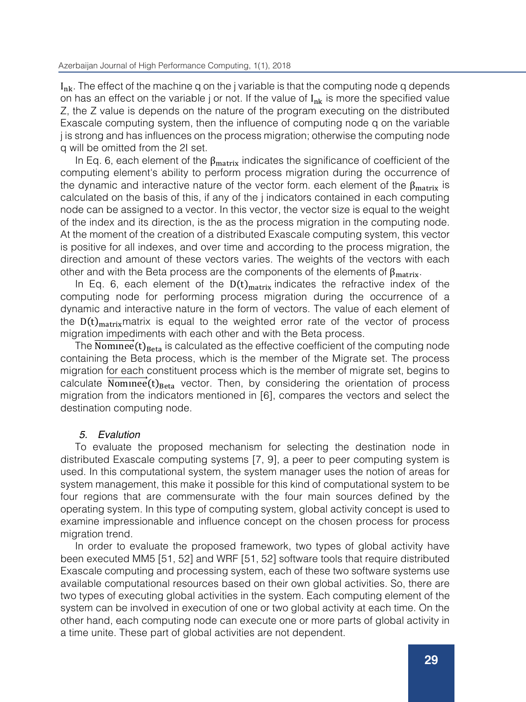$I_{nk}$ . The effect of the machine q on the j variable is that the computing node q depends on has an effect on the variable j or not. If the value of  $I_{nk}$  is more the specified value Z, the Z value is depends on the nature of the program executing on the distributed Exascale computing system, then the influence of computing node q on the variable j is strong and has influences on the process migration; otherwise the computing node q will be omitted from the 2I set.

In Eq. 6, each element of the  $\beta_{\text{matrix}}$  indicates the significance of coefficient of the computing element's ability to perform process migration during the occurrence of the dynamic and interactive nature of the vector form. each element of the  $\beta_{\text{matrix}}$  is calculated on the basis of this, if any of the j indicators contained in each computing node can be assigned to a vector. In this vector, the vector size is equal to the weight of the index and its direction, is the as the process migration in the computing node. At the moment of the creation of a distributed Exascale computing system, this vector is positive for all indexes, and over time and according to the process migration, the direction and amount of these vectors varies. The weights of the vectors with each other and with the Beta process are the components of the elements of  $\beta_{\text{matrix}}$ .

In Eq. 6, each element of the  $D(t)_{matrix}$  indicates the refractive index of the computing node for performing process migration during the occurrence of a dynamic and interactive nature in the form of vectors. The value of each element of the  $D(t)_{\text{matrix}}$  matrix is equal to the weighted error rate of the vector of process migration impediments with each other and with the Beta process.

The  $\overrightarrow{Number}$   $(t)_{\text{Beta}}$  is calculated as the effective coefficient of the computing node containing the Beta process, which is the member of the Migrate set. The process migration for each constituent process which is the member of migrate set, begins to calculate **Nominee** ( $t$ )<sub>Reta</sub> vector. Then, by considering the orientation of process migration from the indicators mentioned in [6], compares the vectors and select the destination computing node.

# *5. Evalution*

To evaluate the proposed mechanism for selecting the destination node in distributed Exascale computing systems [7, 9], a peer to peer computing system is used. In this computational system, the system manager uses the notion of areas for system management, this make it possible for this kind of computational system to be four regions that are commensurate with the four main sources defined by the operating system. In this type of computing system, global activity concept is used to examine impressionable and influence concept on the chosen process for process migration trend.

In order to evaluate the proposed framework, two types of global activity have been executed MM5 [51, 52] and WRF [51, 52] software tools that require distributed Exascale computing and processing system, each of these two software systems use available computational resources based on their own global activities. So, there are two types of executing global activities in the system. Each computing element of the system can be involved in execution of one or two global activity at each time. On the other hand, each computing node can execute one or more parts of global activity in a time unite. These part of global activities are not dependent.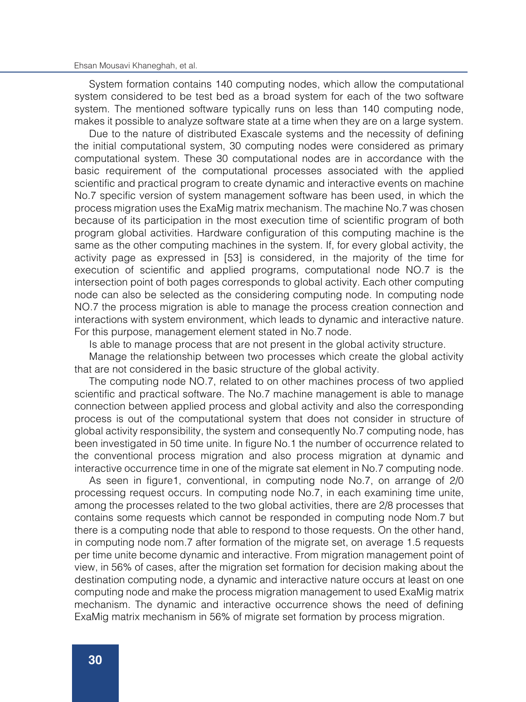System formation contains 140 computing nodes, which allow the computational system considered to be test bed as a broad system for each of the two software system. The mentioned software typically runs on less than 140 computing node, makes it possible to analyze software state at a time when they are on a large system.

Due to the nature of distributed Exascale systems and the necessity of defining the initial computational system, 30 computing nodes were considered as primary computational system. These 30 computational nodes are in accordance with the basic requirement of the computational processes associated with the applied scientific and practical program to create dynamic and interactive events on machine No.7 specific version of system management software has been used, in which the process migration uses the ExaMig matrix mechanism. The machine No.7 was chosen because of its participation in the most execution time of scientific program of both program global activities. Hardware configuration of this computing machine is the same as the other computing machines in the system. If, for every global activity, the activity page as expressed in [53] is considered, in the majority of the time for execution of scientific and applied programs, computational node NO.7 is the intersection point of both pages corresponds to global activity. Each other computing node can also be selected as the considering computing node. In computing node NO.7 the process migration is able to manage the process creation connection and interactions with system environment, which leads to dynamic and interactive nature. For this purpose, management element stated in No.7 node.

Is able to manage process that are not present in the global activity structure.

Manage the relationship between two processes which create the global activity that are not considered in the basic structure of the global activity.

The computing node NO.7, related to on other machines process of two applied scientific and practical software. The No.7 machine management is able to manage connection between applied process and global activity and also the corresponding process is out of the computational system that does not consider in structure of global activity responsibility, the system and consequently No.7 computing node, has been investigated in 50 time unite. In figure No.1 the number of occurrence related to the conventional process migration and also process migration at dynamic and interactive occurrence time in one of the migrate sat element in No.7 computing node.

As seen in figure1, conventional, in computing node No.7, on arrange of 2/0 processing request occurs. In computing node No.7, in each examining time unite, among the processes related to the two global activities, there are 2/8 processes that contains some requests which cannot be responded in computing node Nom.7 but there is a computing node that able to respond to those requests. On the other hand, in computing node nom.7 after formation of the migrate set, on average 1.5 requests per time unite become dynamic and interactive. From migration management point of view, in 56% of cases, after the migration set formation for decision making about the destination computing node, a dynamic and interactive nature occurs at least on one computing node and make the process migration management to used ExaMig matrix mechanism. The dynamic and interactive occurrence shows the need of defining ExaMig matrix mechanism in 56% of migrate set formation by process migration.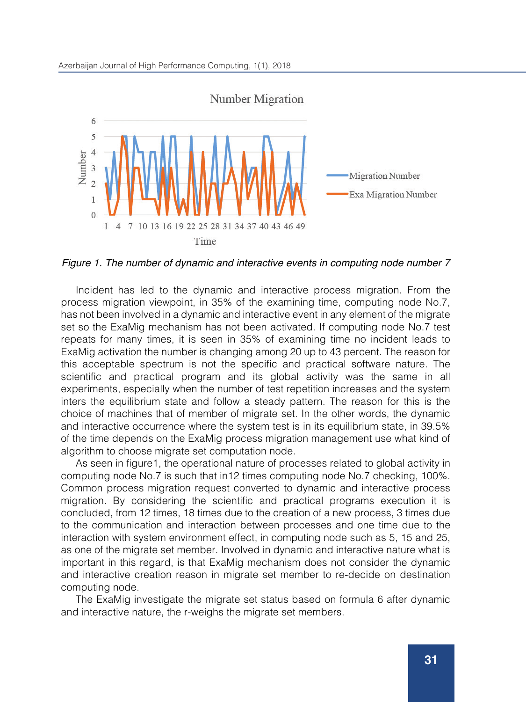

*Figure 1. The number of dynamic and interactive events in computing node number 7*

Incident has led to the dynamic and interactive process migration. From the process migration viewpoint, in 35% of the examining time, computing node No.7, has not been involved in a dynamic and interactive event in any element of the migrate set so the ExaMig mechanism has not been activated. If computing node No.7 test repeats for many times, it is seen in 35% of examining time no incident leads to ExaMig activation the number is changing among 20 up to 43 percent. The reason for this acceptable spectrum is not the specific and practical software nature. The scientific and practical program and its global activity was the same in all experiments, especially when the number of test repetition increases and the system inters the equilibrium state and follow a steady pattern. The reason for this is the choice of machines that of member of migrate set. In the other words, the dynamic and interactive occurrence where the system test is in its equilibrium state, in 39.5% of the time depends on the ExaMig process migration management use what kind of algorithm to choose migrate set computation node.

As seen in figure1, the operational nature of processes related to global activity in computing node No.7 is such that in12 times computing node No.7 checking, 100%. Common process migration request converted to dynamic and interactive process migration. By considering the scientific and practical programs execution it is concluded, from 12 times, 18 times due to the creation of a new process, 3 times due to the communication and interaction between processes and one time due to the interaction with system environment effect, in computing node such as 5, 15 and 25, as one of the migrate set member. Involved in dynamic and interactive nature what is important in this regard, is that ExaMig mechanism does not consider the dynamic and interactive creation reason in migrate set member to re-decide on destination computing node.

The ExaMig investigate the migrate set status based on formula 6 after dynamic and interactive nature, the r-weighs the migrate set members.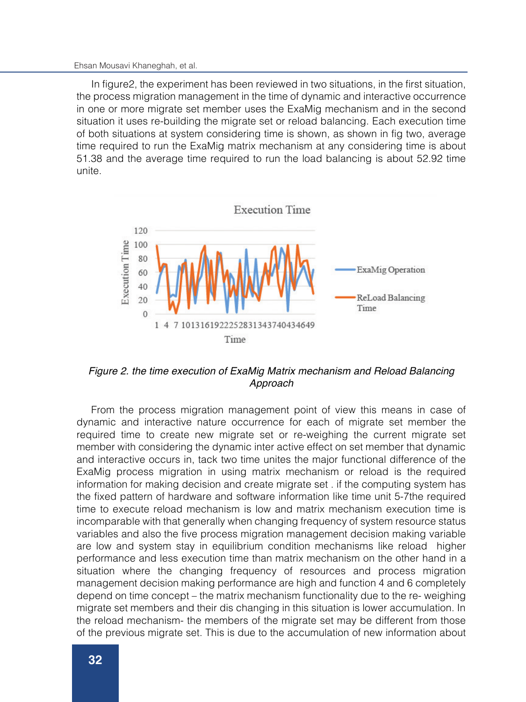In figure2, the experiment has been reviewed in two situations, in the first situation, the process migration management in the time of dynamic and interactive occurrence in one or more migrate set member uses the ExaMig mechanism and in the second situation it uses re-building the migrate set or reload balancing. Each execution time of both situations at system considering time is shown, as shown in fig two, average time required to run the ExaMig matrix mechanism at any considering time is about 51.38 and the average time required to run the load balancing is about 52.92 time unite.



*Figure 2. the time execution of ExaMig Matrix mechanism and Reload Balancing Approach*

From the process migration management point of view this means in case of dynamic and interactive nature occurrence for each of migrate set member the required time to create new migrate set or re-weighing the current migrate set member with considering the dynamic inter active effect on set member that dynamic and interactive occurs in, tack two time unites the major functional difference of the ExaMig process migration in using matrix mechanism or reload is the required information for making decision and create migrate set . if the computing system has the fixed pattern of hardware and software information like time unit 5-7the required time to execute reload mechanism is low and matrix mechanism execution time is incomparable with that generally when changing frequency of system resource status variables and also the five process migration management decision making variable are low and system stay in equilibrium condition mechanisms like reload higher performance and less execution time than matrix mechanism on the other hand in a situation where the changing frequency of resources and process migration management decision making performance are high and function 4 and 6 completely depend on time concept – the matrix mechanism functionality due to the re- weighing migrate set members and their dis changing in this situation is lower accumulation. In the reload mechanism- the members of the migrate set may be different from those of the previous migrate set. This is due to the accumulation of new information about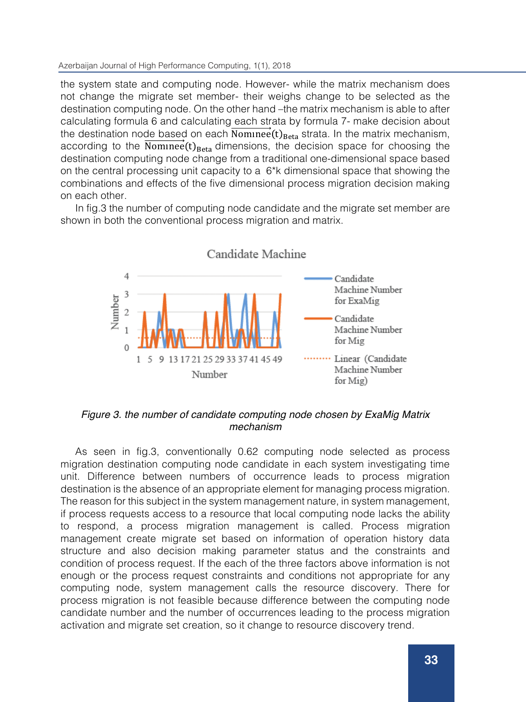### Azerbaijan Journal of High Performance Computing, 1(1), 2018

the system state and computing node. However- while the matrix mechanism does not change the migrate set member- their weighs change to be selected as the destination computing node. On the other hand –the matrix mechanism is able to after calculating formula 6 and calculating each strata by formula 7- make decision about the destination node based on each Nominee  $(t)_{\text{Beta}}$  strata. In the matrix mechanism, according to the Nominee  $(t)_{\text{Beta}}$  dimensions, the decision space for choosing the destination computing node change from a traditional one-dimensional space based on the central processing unit capacity to a  $6*$ k dimensional space that showing the combinations and effects of the five dimensional process migration decision making on each other.

In fig.3 the number of computing node candidate and the migrate set member are shown in both the conventional process migration and matrix.



# *Figure 3. the number of candidate computing node chosen by ExaMig Matrix mechanism*

As seen in fig.3, conventionally 0.62 computing node selected as process migration destination computing node candidate in each system investigating time unit. Difference between numbers of occurrence leads to process migration destination is the absence of an appropriate element for managing process migration. The reason for this subject in the system management nature, in system management, if process requests access to a resource that local computing node lacks the ability to respond, a process migration management is called. Process migration management create migrate set based on information of operation history data structure and also decision making parameter status and the constraints and condition of process request. If the each of the three factors above information is not enough or the process request constraints and conditions not appropriate for any computing node, system management calls the resource discovery. There for process migration is not feasible because difference between the computing node candidate number and the number of occurrences leading to the process migration activation and migrate set creation, so it change to resource discovery trend.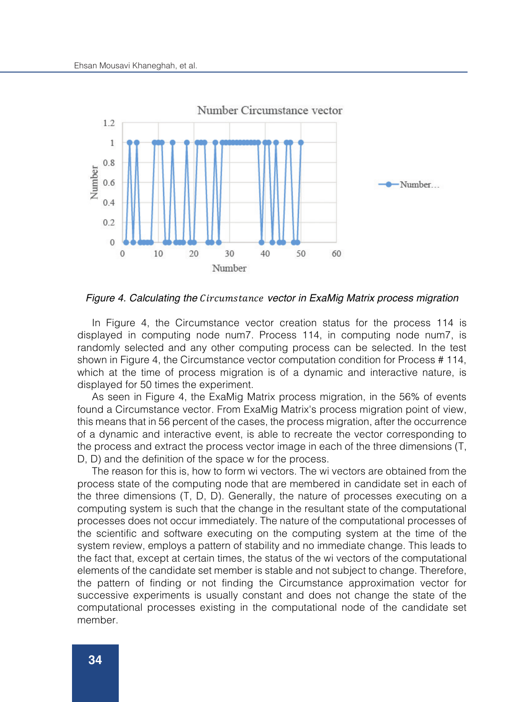

*Figure 4. Calculating the vector in ExaMig Matrix process migration*

In Figure 4, the Circumstance vector creation status for the process 114 is displayed in computing node num7. Process 114, in computing node num7, is randomly selected and any other computing process can be selected. In the test shown in Figure 4, the Circumstance vector computation condition for Process # 114, which at the time of process migration is of a dynamic and interactive nature, is displayed for 50 times the experiment.

As seen in Figure 4, the ExaMig Matrix process migration, in the 56% of events found a Circumstance vector. From ExaMig Matrix's process migration point of view, this means that in 56 percent of the cases, the process migration, after the occurrence of a dynamic and interactive event, is able to recreate the vector corresponding to the process and extract the process vector image in each of the three dimensions (T, D, D) and the definition of the space w for the process.

The reason for this is, how to form wi vectors. The wi vectors are obtained from the process state of the computing node that are membered in candidate set in each of the three dimensions (T, D, D). Generally, the nature of processes executing on a computing system is such that the change in the resultant state of the computational processes does not occur immediately. The nature of the computational processes of the scientific and software executing on the computing system at the time of the system review, employs a pattern of stability and no immediate change. This leads to the fact that, except at certain times, the status of the wi vectors of the computational elements of the candidate set member is stable and not subject to change. Therefore, the pattern of finding or not finding the Circumstance approximation vector for successive experiments is usually constant and does not change the state of the computational processes existing in the computational node of the candidate set member.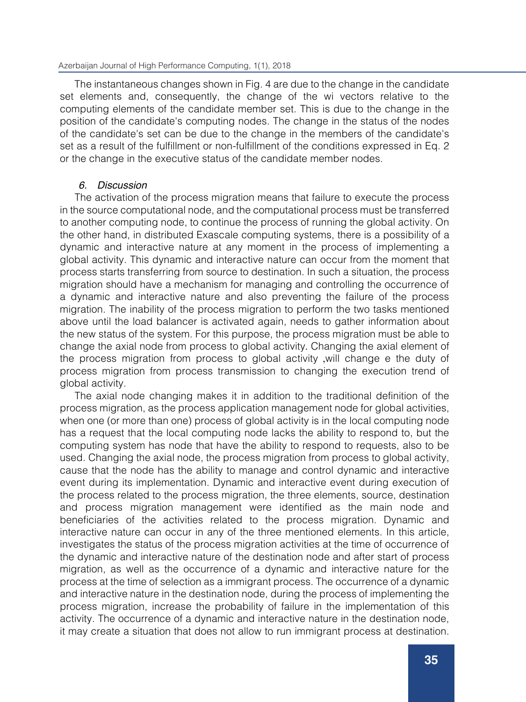The instantaneous changes shown in Fig. 4 are due to the change in the candidate set elements and, consequently, the change of the wi vectors relative to the computing elements of the candidate member set. This is due to the change in the position of the candidate's computing nodes. The change in the status of the nodes of the candidate's set can be due to the change in the members of the candidate's set as a result of the fulfillment or non-fulfillment of the conditions expressed in Eq. 2 or the change in the executive status of the candidate member nodes.

# *6. Discussion*

The activation of the process migration means that failure to execute the process in the source computational node, and the computational process must be transferred to another computing node, to continue the process of running the global activity. On the other hand, in distributed Exascale computing systems, there is a possibility of a dynamic and interactive nature at any moment in the process of implementing a global activity. This dynamic and interactive nature can occur from the moment that process starts transferring from source to destination. In such a situation, the process migration should have a mechanism for managing and controlling the occurrence of a dynamic and interactive nature and also preventing the failure of the process migration. The inability of the process migration to perform the two tasks mentioned above until the load balancer is activated again, needs to gather information about the new status of the system. For this purpose, the process migration must be able to change the axial node from process to global activity. Changing the axial element of the process migration from process to global activity ,will change e the duty of process migration from process transmission to changing the execution trend of global activity.

The axial node changing makes it in addition to the traditional definition of the process migration, as the process application management node for global activities, when one (or more than one) process of global activity is in the local computing node has a request that the local computing node lacks the ability to respond to, but the computing system has node that have the ability to respond to requests, also to be used. Changing the axial node, the process migration from process to global activity, cause that the node has the ability to manage and control dynamic and interactive event during its implementation. Dynamic and interactive event during execution of the process related to the process migration, the three elements, source, destination and process migration management were identified as the main node and beneficiaries of the activities related to the process migration. Dynamic and interactive nature can occur in any of the three mentioned elements. In this article, investigates the status of the process migration activities at the time of occurrence of the dynamic and interactive nature of the destination node and after start of process migration, as well as the occurrence of a dynamic and interactive nature for the process at the time of selection as a immigrant process. The occurrence of a dynamic and interactive nature in the destination node, during the process of implementing the process migration, increase the probability of failure in the implementation of this activity. The occurrence of a dynamic and interactive nature in the destination node, it may create a situation that does not allow to run immigrant process at destination.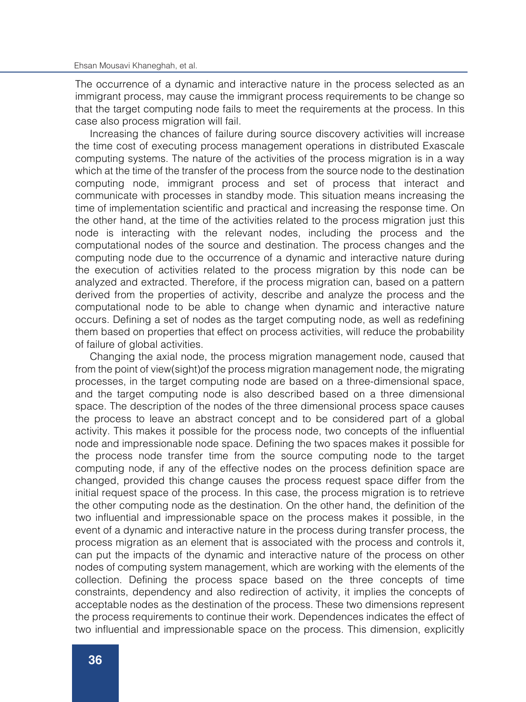The occurrence of a dynamic and interactive nature in the process selected as an immigrant process, may cause the immigrant process requirements to be change so that the target computing node fails to meet the requirements at the process. In this case also process migration will fail.

Increasing the chances of failure during source discovery activities will increase the time cost of executing process management operations in distributed Exascale computing systems. The nature of the activities of the process migration is in a way which at the time of the transfer of the process from the source node to the destination computing node, immigrant process and set of process that interact and communicate with processes in standby mode. This situation means increasing the time of implementation scientific and practical and increasing the response time. On the other hand, at the time of the activities related to the process migration just this node is interacting with the relevant nodes, including the process and the computational nodes of the source and destination. The process changes and the computing node due to the occurrence of a dynamic and interactive nature during the execution of activities related to the process migration by this node can be analyzed and extracted. Therefore, if the process migration can, based on a pattern derived from the properties of activity, describe and analyze the process and the computational node to be able to change when dynamic and interactive nature occurs. Defining a set of nodes as the target computing node, as well as redefining them based on properties that effect on process activities, will reduce the probability of failure of global activities.

Changing the axial node, the process migration management node, caused that from the point of view(sight)of the process migration management node, the migrating processes, in the target computing node are based on a three-dimensional space, and the target computing node is also described based on a three dimensional space. The description of the nodes of the three dimensional process space causes the process to leave an abstract concept and to be considered part of a global activity. This makes it possible for the process node, two concepts of the influential node and impressionable node space. Defining the two spaces makes it possible for the process node transfer time from the source computing node to the target computing node, if any of the effective nodes on the process definition space are changed, provided this change causes the process request space differ from the initial request space of the process. In this case, the process migration is to retrieve the other computing node as the destination. On the other hand, the definition of the two influential and impressionable space on the process makes it possible, in the event of a dynamic and interactive nature in the process during transfer process, the process migration as an element that is associated with the process and controls it, can put the impacts of the dynamic and interactive nature of the process on other nodes of computing system management, which are working with the elements of the collection. Defining the process space based on the three concepts of time constraints, dependency and also redirection of activity, it implies the concepts of acceptable nodes as the destination of the process. These two dimensions represent the process requirements to continue their work. Dependences indicates the effect of two influential and impressionable space on the process. This dimension, explicitly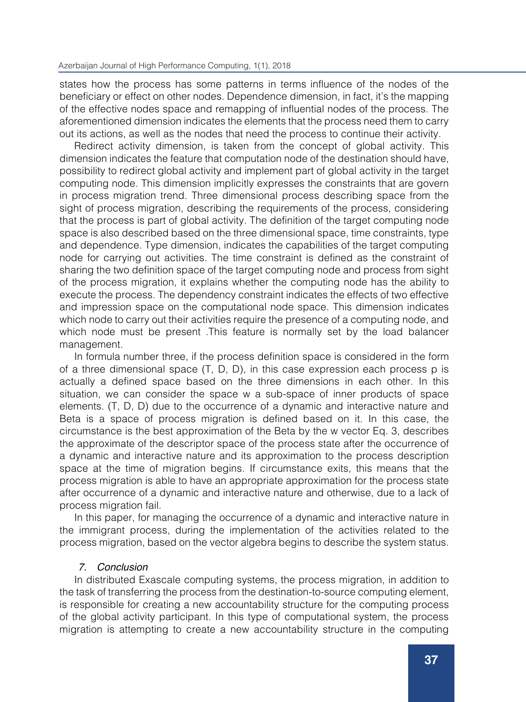### Azerbaijan Journal of High Performance Computing, 1(1), 2018

states how the process has some patterns in terms influence of the nodes of the beneficiary or effect on other nodes. Dependence dimension, in fact, it's the mapping of the effective nodes space and remapping of influential nodes of the process. The aforementioned dimension indicates the elements that the process need them to carry out its actions, as well as the nodes that need the process to continue their activity.

Redirect activity dimension, is taken from the concept of global activity. This dimension indicates the feature that computation node of the destination should have, possibility to redirect global activity and implement part of global activity in the target computing node. This dimension implicitly expresses the constraints that are govern in process migration trend. Three dimensional process describing space from the sight of process migration, describing the requirements of the process, considering that the process is part of global activity. The definition of the target computing node space is also described based on the three dimensional space, time constraints, type and dependence. Type dimension, indicates the capabilities of the target computing node for carrying out activities. The time constraint is defined as the constraint of sharing the two definition space of the target computing node and process from sight of the process migration, it explains whether the computing node has the ability to execute the process. The dependency constraint indicates the effects of two effective and impression space on the computational node space. This dimension indicates which node to carry out their activities require the presence of a computing node, and which node must be present .This feature is normally set by the load balancer management.

In formula number three, if the process definition space is considered in the form of a three dimensional space (T, D, D), in this case expression each process p is actually a defined space based on the three dimensions in each other. In this situation, we can consider the space w a sub-space of inner products of space elements. (T, D, D) due to the occurrence of a dynamic and interactive nature and Beta is a space of process migration is defined based on it. In this case, the circumstance is the best approximation of the Beta by the w vector Eq. 3, describes the approximate of the descriptor space of the process state after the occurrence of a dynamic and interactive nature and its approximation to the process description space at the time of migration begins. If circumstance exits, this means that the process migration is able to have an appropriate approximation for the process state after occurrence of a dynamic and interactive nature and otherwise, due to a lack of process migration fail.

In this paper, for managing the occurrence of a dynamic and interactive nature in the immigrant process, during the implementation of the activities related to the process migration, based on the vector algebra begins to describe the system status.

# *7. Conclusion*

In distributed Exascale computing systems, the process migration, in addition to the task of transferring the process from the destination-to-source computing element, is responsible for creating a new accountability structure for the computing process of the global activity participant. In this type of computational system, the process migration is attempting to create a new accountability structure in the computing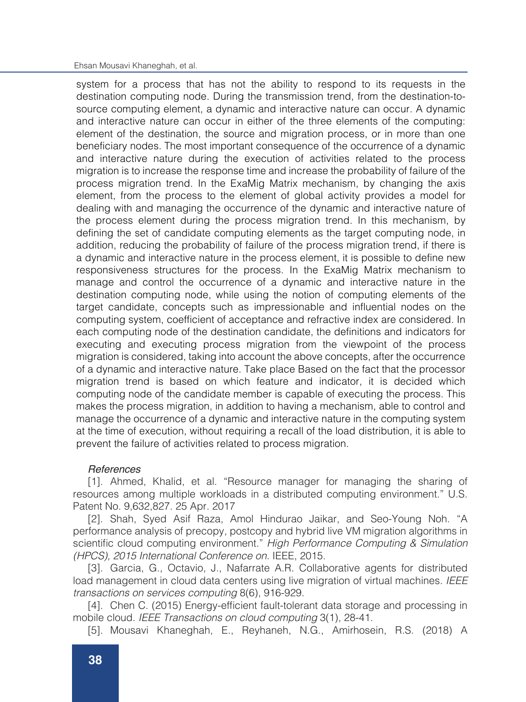#### Ehsan Mousavi Khaneghah, et al.

system for a process that has not the ability to respond to its requests in the destination computing node. During the transmission trend, from the destination-tosource computing element, a dynamic and interactive nature can occur. A dynamic and interactive nature can occur in either of the three elements of the computing: element of the destination, the source and migration process, or in more than one beneficiary nodes. The most important consequence of the occurrence of a dynamic and interactive nature during the execution of activities related to the process migration is to increase the response time and increase the probability of failure of the process migration trend. In the ExaMig Matrix mechanism, by changing the axis element, from the process to the element of global activity provides a model for dealing with and managing the occurrence of the dynamic and interactive nature of the process element during the process migration trend. In this mechanism, by defining the set of candidate computing elements as the target computing node, in addition, reducing the probability of failure of the process migration trend, if there is a dynamic and interactive nature in the process element, it is possible to define new responsiveness structures for the process. In the ExaMig Matrix mechanism to manage and control the occurrence of a dynamic and interactive nature in the destination computing node, while using the notion of computing elements of the target candidate, concepts such as impressionable and influential nodes on the computing system, coefficient of acceptance and refractive index are considered. In each computing node of the destination candidate, the definitions and indicators for executing and executing process migration from the viewpoint of the process migration is considered, taking into account the above concepts, after the occurrence of a dynamic and interactive nature. Take place Based on the fact that the processor migration trend is based on which feature and indicator, it is decided which computing node of the candidate member is capable of executing the process. This makes the process migration, in addition to having a mechanism, able to control and manage the occurrence of a dynamic and interactive nature in the computing system at the time of execution, without requiring a recall of the load distribution, it is able to prevent the failure of activities related to process migration.

# *References*

[1]. Ahmed, Khalid, et al. "Resource manager for managing the sharing of resources among multiple workloads in a distributed computing environment." U.S. Patent No. 9,632,827. 25 Apr. 2017

[2]. Shah, Syed Asif Raza, Amol Hindurao Jaikar, and Seo-Young Noh. "A performance analysis of precopy, postcopy and hybrid live VM migration algorithms in scientific cloud computing environment." *High Performance Computing & Simulation (HPCS), 2015 International Conference on.* IEEE, 2015.

[3]. Garcia, G., Octavio, J., Nafarrate A.R. Collaborative agents for distributed load management in cloud data centers using live migration of virtual machines. *IEEE transactions on services computing* 8(6), 916-929.

[4]. Chen C. (2015) Energy-efficient fault-tolerant data storage and processing in mobile cloud. *IEEE Transactions on cloud computing* 3(1), 28-41.

[5]. Mousavi Khaneghah, E., Reyhaneh, N.G., Amirhosein, R.S. (2018) A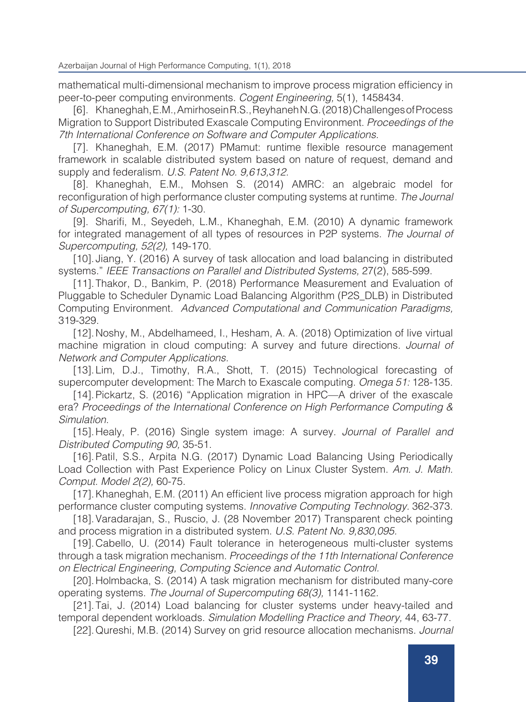mathematical multi-dimensional mechanism to improve process migration efficiency in peer-to-peer computing environments. *Cogent Engineering,* 5(1), 1458434.

[6]. Khaneghah, E.M., Amirhosein R.S., Reyhaneh N.G. (2018) Challenges of Process Migration to Support Distributed Exascale Computing Environment. *Proceedings of the 7th International Conference on Software and Computer Applications.*

[7]. Khaneghah, E.M. (2017) PMamut: runtime flexible resource management framework in scalable distributed system based on nature of request, demand and supply and federalism. *U.S. Patent No. 9,613,312.*

[8]. Khaneghah, E.M., Mohsen S. (2014) AMRC: an algebraic model for reconfiguration of high performance cluster computing systems at runtime. *The Journal of Supercomputing, 67(1):* 1-30.

[9]. Sharifi, M., Seyedeh, L.M., Khaneghah, E.M. (2010) A dynamic framework for integrated management of all types of resources in P2P systems. *The Journal of Supercomputing, 52(2),* 149-170.

[10]. Jiang, Y. (2016) A survey of task allocation and load balancing in distributed systems." *IEEE Transactions on Parallel and Distributed Systems,* 27(2), 585-599.

[11].Thakor, D., Bankim, P. (2018) Performance Measurement and Evaluation of Pluggable to Scheduler Dynamic Load Balancing Algorithm (P2S\_DLB) in Distributed Computing Environment. *Advanced Computational and Communication Paradigms,* 319-329.

[12].Noshy, M., Abdelhameed, I., Hesham, A. A. (2018) Optimization of live virtual machine migration in cloud computing: A survey and future directions. *Journal of Network and Computer Applications.*

[13].Lim, D.J., Timothy, R.A., Shott, T. (2015) Technological forecasting of supercomputer development: The March to Exascale computing. *Omega 51:* 128-135.

[14].Pickartz, S. (2016) "Application migration in HPC—A driver of the exascale era? *Proceedings of the International Conference on High Performance Computing & Simulation.*

[15].Healy, P. (2016) Single system image: A survey. *Journal of Parallel and Distributed Computing 90,* 35-51.

[16]. Patil, S.S., Arpita N.G. (2017) Dynamic Load Balancing Using Periodically Load Collection with Past Experience Policy on Linux Cluster System. *Am. J. Math. Comput. Model 2(2),* 60-75.

[17].Khaneghah, E.M. (2011) An efficient live process migration approach for high performance cluster computing systems. *Innovative Computing Technology.* 362-373.

[18].Varadarajan, S., Ruscio, J. (28 November 2017) Transparent check pointing and process migration in a distributed system. *U.S. Patent No. 9,830,095.*

[19].Cabello, U. (2014) Fault tolerance in heterogeneous multi-cluster systems through a task migration mechanism. *Proceedings of the 11th International Conference on Electrical Engineering, Computing Science and Automatic Control.*

[20].Holmbacka, S. (2014) A task migration mechanism for distributed many-core operating systems. *The Journal of Supercomputing 68(3),* 1141-1162.

[21].Tai, J. (2014) Load balancing for cluster systems under heavy-tailed and temporal dependent workloads. *Simulation Modelling Practice and Theory,* 44, 63-77.

[22].Qureshi, M.B. (2014) Survey on grid resource allocation mechanisms. *Journal*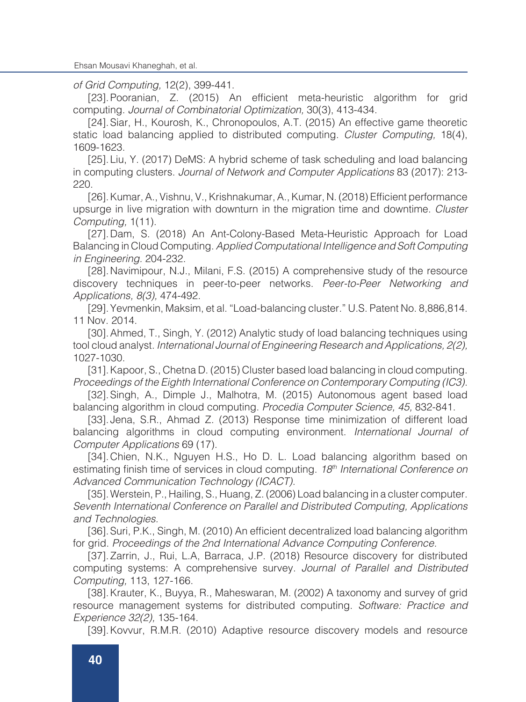Ehsan Mousavi Khaneghah, et al.

*of Grid Computing,* 12(2), 399-441.

[23]. Pooranian, Z. (2015) An efficient meta-heuristic algorithm for grid computing. *Journal of Combinatorial Optimization,* 30(3), 413-434.

[24].Siar, H., Kourosh, K., Chronopoulos, A.T. (2015) An effective game theoretic static load balancing applied to distributed computing. *Cluster Computing,* 18(4), 1609-1623.

[25].Liu, Y. (2017) DeMS: A hybrid scheme of task scheduling and load balancing in computing clusters. *Journal of Network and Computer Applications* 83 (2017): 213- 220.

[26].Kumar, A., Vishnu, V., Krishnakumar, A., Kumar, N. (2018) Efficient performance upsurge in live migration with downturn in the migration time and downtime. *Cluster Computing,* 1(11).

[27].Dam, S. (2018) An Ant-Colony-Based Meta-Heuristic Approach for Load Balancing in Cloud Computing. *Applied Computational Intelligence and Soft Computing in Engineering.* 204-232.

[28].Navimipour, N.J., Milani, F.S. (2015) A comprehensive study of the resource discovery techniques in peer-to-peer networks. *Peer-to-Peer Networking and Applications, 8(3),* 474-492.

[29]. Yevmenkin, Maksim, et al. "Load-balancing cluster." U.S. Patent No. 8,886,814. 11 Nov. 2014.

[30].Ahmed, T., Singh, Y. (2012) Analytic study of load balancing techniques using tool cloud analyst. *International Journal of Engineering Research and Applications, 2(2),*  1027-1030.

[31]. Kapoor, S., Chetna D. (2015) Cluster based load balancing in cloud computing. *Proceedings of the Eighth International Conference on Contemporary Computing (IC3).*

[32].Singh, A., Dimple J., Malhotra, M. (2015) Autonomous agent based load balancing algorithm in cloud computing. *Procedia Computer Science, 45,* 832-841.

[33]. Jena, S.R., Ahmad Z. (2013) Response time minimization of different load balancing algorithms in cloud computing environment. *International Journal of Computer Applications* 69 (17).

[34].Chien, N.K., Nguyen H.S., Ho D. L. Load balancing algorithm based on estimating finish time of services in cloud computing. *18th International Conference on Advanced Communication Technology (ICACT).*

[35].Werstein, P., Hailing, S., Huang, Z. (2006) Load balancing in a cluster computer. *Seventh International Conference on Parallel and Distributed Computing, Applications and Technologies.*

[36].Suri, P.K., Singh, M. (2010) An efficient decentralized load balancing algorithm for grid. *Proceedings of the 2nd International Advance Computing Conference.*

[37].Zarrin, J., Rui, L.A, Barraca, J.P. (2018) Resource discovery for distributed computing systems: A comprehensive survey. *Journal of Parallel and Distributed Computing,* 113, 127-166.

[38].Krauter, K., Buyya, R., Maheswaran, M. (2002) A taxonomy and survey of grid resource management systems for distributed computing. *Software: Practice and Experience 32(2),* 135-164.

[39].Kovvur, R.M.R. (2010) Adaptive resource discovery models and resource